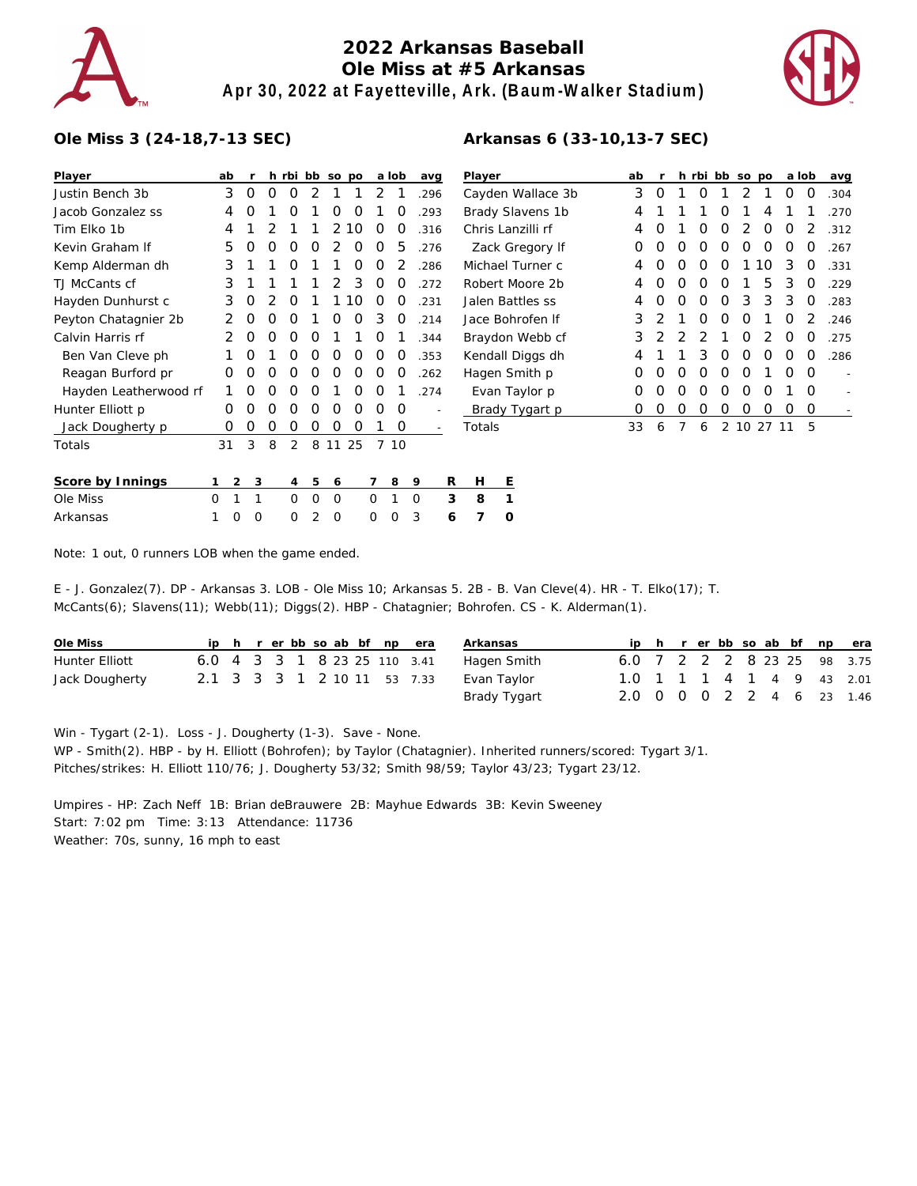

## **2022 Arkansas Baseball Ole Miss at #5 Arkansas Apr 30, 2022 at Fayetteville, Ark. (Baum-Walker Stadium)**



## **Ole Miss 3 (24-18,7-13 SEC)**

| Player                | ab |   |   |   |          |          | h rbi bb so po |    |   | a lob | avg      |                          | Player |                   | ab |          |   |                  |   | h rbi bb so po   |    | a lob      |          | avg  |
|-----------------------|----|---|---|---|----------|----------|----------------|----|---|-------|----------|--------------------------|--------|-------------------|----|----------|---|------------------|---|------------------|----|------------|----------|------|
| Justin Bench 3b       |    | 3 | 0 | 0 | 0        | 2        |                |    | 2 |       | .296     |                          |        | Cayden Wallace 3b | 3  | 0        |   | 0                |   |                  |    | 0          | 0        | .304 |
| Jacob Gonzalez ss     |    | 4 | Ο |   | Ο        |          | 0              | O  |   | Ő     | .293     |                          |        | Brady Slavens 1b  | 4  |          |   |                  | O |                  |    |            |          | .270 |
| Tim Elko 1b           |    | 4 |   |   |          |          | 2              | 10 | O | O     | .316     |                          |        | Chris Lanzilli rf | 4  | $\left($ |   | $\left( \right)$ | O |                  | O  | O          |          | .312 |
| Kevin Graham If       |    | 5 | O | 0 | Ο        | O        |                | Ο  | Ο | 5     | .276     |                          |        | Zack Gregory If   | 0  | 0        | O | O                | O | Ο                | O  | O          | O        | .267 |
| Kemp Alderman dh      |    | 3 |   |   | Ο        |          |                | Ο  | ი |       | .286     |                          |        | Michael Turner c  | 4  | Ο        | O | Ω                | O |                  | 10 | 3          | O        | .331 |
| TJ McCants cf         |    | 3 |   |   |          |          |                | 3  | O | 0     | 272      |                          |        | Robert Moore 2b   | 4  | Ο        | Ο | O                | O |                  | 5  | 3          | $\Omega$ | 229  |
| Hayden Dunhurst c     |    | 3 | O |   | O        |          |                | 10 | O | O     | .231     |                          |        | Jalen Battles ss  | 4  | O        | O | O                | O | 3                | 3  | 3          | O        | .283 |
| Peyton Chatagnier 2b  |    |   | 0 | 0 | Ο        |          | Ο              | O  | 3 | O     | .214     |                          |        | Jace Bohrofen If  | 3  |          |   | Ο                | O | O                |    | Ο          | 2        | 246  |
| Calvin Harris rf      |    |   | 0 | O | Ο        | O        |                |    | O |       | .344     |                          |        | Braydon Webb cf   | 3  |          |   |                  |   | O                |    | $\left($ ) | $\Omega$ | 275  |
| Ben Van Cleve ph      |    |   | 0 |   | Ο        | O        | O              | O  | O | O     | .353     |                          |        | Kendall Diggs dh  | 4  |          |   | 3                | O | O                | O  | O          | O        | .286 |
| Reagan Burford pr     |    | Ο | Ο | Ο | Ο        | Ο        | Ω              | Ο  | Ο | Ω     | .262     |                          |        | Hagen Smith p     | O  | Ω        | Ω | Ω                | Ω | $\left( \right)$ |    | Ω          | $\Omega$ |      |
| Hayden Leatherwood rf |    |   | 0 | 0 | Ο        | O        |                | Ο  | O |       | .274     |                          |        | Evan Taylor p     | O  | Ο        | Ο | O                | O | O                | O  |            | $\Omega$ |      |
| Hunter Elliott p      |    | 0 | Ο | Ο | Ο        | O        | O              | O  | Ο | O     |          |                          |        | Brady Tygart p    | O  | 0        | Ο | O                | 0 | O                | O  | O          | 0        |      |
| Jack Dougherty p      |    | 0 | 0 | 0 | 0        | O        | 0              | 0  |   | 0     |          | $\overline{\phantom{a}}$ | Totals |                   | 33 | 6        | 7 | 6                |   | 2 10 27 11       |    |            | 5        |      |
| Totals                | 31 |   | 3 | 8 | 2        | 8        | 11             | 25 |   | 7 10  |          |                          |        |                   |    |          |   |                  |   |                  |    |            |          |      |
|                       |    |   |   |   |          |          |                |    |   |       |          |                          |        |                   |    |          |   |                  |   |                  |    |            |          |      |
| Score by Innings      |    | 2 | 3 |   | 4        | 5        | 6              |    |   | 8     | 9        | R                        | H      | Ε                 |    |          |   |                  |   |                  |    |            |          |      |
| Ole Miss              | O  |   |   |   | $\Omega$ | $\Omega$ | $\Omega$       |    | 0 |       | $\Omega$ | 3                        | 8      | 1                 |    |          |   |                  |   |                  |    |            |          |      |
| Arkansas              |    | 0 | 0 |   | 0        | 2        | 0              |    | 0 | Ω     | 3        | 6                        |        | O                 |    |          |   |                  |   |                  |    |            |          |      |

Note: 1 out, 0 runners LOB when the game ended.

E - J. Gonzalez(7). DP - Arkansas 3. LOB - Ole Miss 10; Arkansas 5. 2B - B. Van Cleve(4). HR - T. Elko(17); T. McCants(6); Slavens(11); Webb(11); Diggs(2). HBP - Chatagnier; Bohrofen. CS - K. Alderman(1).

| Ole Miss       |  |  |  |  | ip h r er bb so ab bf np era | Arkansas     |                           |  |  |  |  | ip h r er bb so ab bf np era |
|----------------|--|--|--|--|------------------------------|--------------|---------------------------|--|--|--|--|------------------------------|
| Hunter Elliott |  |  |  |  | 6.0 4 3 3 1 8 23 25 110 3.41 | Hagen Smith  |                           |  |  |  |  | 6.0 7 2 2 2 8 23 25 98 3.75  |
| Jack Dougherty |  |  |  |  | 2.1 3 3 3 1 2 10 11 53 7.33  | Evan Taylor  |                           |  |  |  |  | 1.0 1 1 1 4 1 4 9 43 2.01    |
|                |  |  |  |  |                              | Brady Tygart | 2.0 0 0 0 2 2 4 6 23 1.46 |  |  |  |  |                              |

Win - Tygart (2-1). Loss - J. Dougherty (1-3). Save - None. WP - Smith(2). HBP - by H. Elliott (Bohrofen); by Taylor (Chatagnier). Inherited runners/scored: Tygart 3/1. Pitches/strikes: H. Elliott 110/76; J. Dougherty 53/32; Smith 98/59; Taylor 43/23; Tygart 23/12.

Umpires - HP: Zach Neff 1B: Brian deBrauwere 2B: Mayhue Edwards 3B: Kevin Sweeney Start: 7:02 pm Time: 3:13 Attendance: 11736 Weather: 70s, sunny, 16 mph to east

## **Arkansas 6 (33-10,13-7 SEC)**